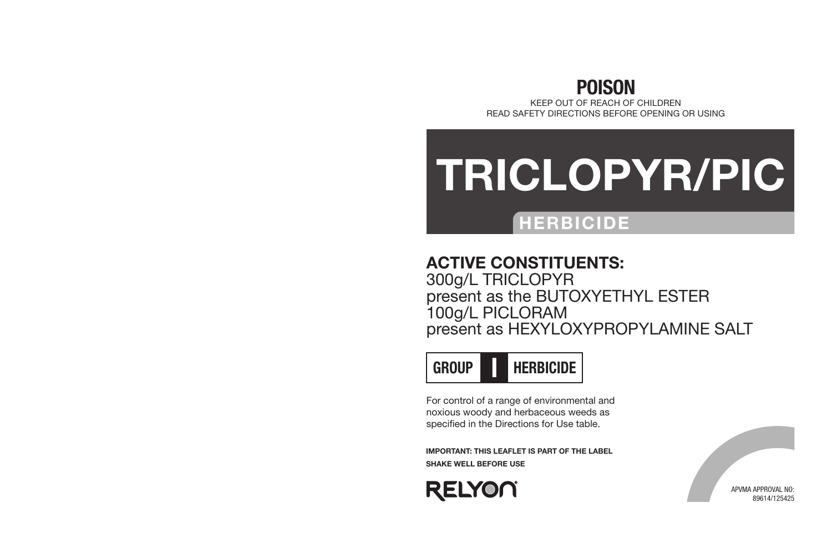## POISON

KEEP OUT OF REACH OF CHILDREN READ SAFETY DIRECTIONS BEFORE OPENING OR USING

# TRICLOPYR/PIC

## HERBICIDE

## ACTIVE CONSTITUENTS:

300g/L TRICLOPYR present as the BUTOXYETHYL ESTER 100g/L PICLORAM present as HEXYLOXYPROPYLAMINE SALT



For control of a range of environmental and noxious woody and herbaceous weeds as specified in the Directions for Use table.

IMPORTANT: THIS LEAFLET IS PART OF THE LABEL SHAKE WELL BEFORE USE



APVMA APPROVAL NO: 89614/125425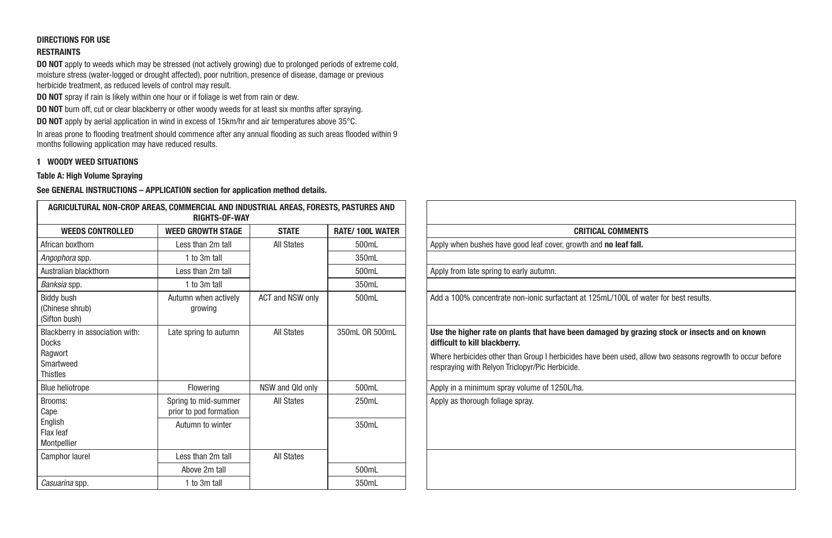#### DIRECTIONS FOR USE RESTRAINTS

DO NOT apply to weeds which may be stressed (not actively growing) due to prolonged periods of extreme cold, moisture stress (water-logged or drought affected), poor nutrition, presence of disease, damage or previous herbicide treatment, as reduced levels of control may result.

DO NOT spray if rain is likely within one hour or if foliage is wet from rain or dew.

DO NOT burn off, cut or clear blackberry or other woody weeds for at least six months after spraying.

DO NOT apply by aerial application in wind in excess of 15km/hr and air temperatures above 35°C.

In areas prone to flooding treatment should commence after any annual flooding as such areas flooded within 9 months following application may have reduced results.

#### 1 WOODY WEED SITUATIONS

#### Table A: High Volume Spraying

| <b>WEED GROWTH STAGE</b>                       | <b>STATE</b>      | <b>RATE/100L WATER</b> | <b>CRITICAL COMMENTS</b>                                                                                              |
|------------------------------------------------|-------------------|------------------------|-----------------------------------------------------------------------------------------------------------------------|
| Less than 2m tall                              | <b>All States</b> | 500mL                  | Apply when bushes have good leaf cover, growth and no leaf fall.                                                      |
| 1 to 3m tall                                   |                   | 350mL                  |                                                                                                                       |
| Less than 2m tall                              |                   | 500mL                  | Apply from late spring to early autumn.                                                                               |
| 1 to 3m tall                                   |                   | 350mL                  |                                                                                                                       |
| Autumn when actively<br>growing                | ACT and NSW only  | 500mL                  | Add a 100% concentrate non-ionic surfactant at 125mL/100L of wa                                                       |
| Late spring to autumn                          | All States        | 350mL OR 500mL         | Use the higher rate on plants that have been damaged by grazi<br>difficult to kill blackberry.                        |
|                                                |                   |                        | Where herbicides other than Group I herbicides have been used, all<br>respraying with Relyon Triclopyr/Pic Herbicide. |
| Flowering                                      | NSW and Qld only  | 500mL                  | Apply in a minimum spray volume of 1250L/ha.                                                                          |
| Spring to mid-summer<br>prior to pod formation | All States        | 250mL                  | Apply as thorough foliage spray.                                                                                      |
| Autumn to winter                               |                   | 350mL                  |                                                                                                                       |
| Less than 2m tall                              | <b>All States</b> |                        |                                                                                                                       |
| Above 2m tall                                  |                   | 500mL                  |                                                                                                                       |
| 1 to 3m tall                                   |                   | 350mL                  |                                                                                                                       |
|                                                |                   | <b>RIGHTS-OF-WAY</b>   | AGRICULTURAL NON-CROP AREAS, COMMERCIAL AND INDUSTRIAL AREAS, FORESTS, PASTURES AND                                   |

| COMMERCIAL AND INDUSTRIAL AREAS, FORESTS, PASTURES AND<br><b>RIGHTS-OF-WAY</b> |                   |                         |                                                                                                                                                              |
|--------------------------------------------------------------------------------|-------------------|-------------------------|--------------------------------------------------------------------------------------------------------------------------------------------------------------|
| <b>VEED GROWTH STAGE</b>                                                       | <b>STATE</b>      | <b>RATE/ 100L WATER</b> | <b>CRITICAL COMMENTS</b>                                                                                                                                     |
| Less than 2m tall                                                              | <b>All States</b> | 500mL                   | Apply when bushes have good leaf cover, growth and no leaf fall.                                                                                             |
| 1 to 3m tall                                                                   |                   | 350mL                   |                                                                                                                                                              |
| Less than 2m tall                                                              |                   | 500mL                   | Apply from late spring to early autumn.                                                                                                                      |
| 1 to 3m tall                                                                   |                   | 350mL                   |                                                                                                                                                              |
| Autumn when actively<br>growing                                                | ACT and NSW only  | 500mL                   | Add a 100% concentrate non-ionic surfactant at 125mL/100L of water for best results.                                                                         |
| Late spring to autumn                                                          | <b>All States</b> | 350mL OR 500mL          | Use the higher rate on plants that have been damaged by grazing stock or insects and on known<br>difficult to kill blackberry.                               |
|                                                                                |                   |                         | Where herbicides other than Group I herbicides have been used, allow two seasons regrowth to occur before<br>respraying with Relyon Triclopyr/Pic Herbicide. |
| Flowering                                                                      | NSW and Old only  | 500mL                   | Apply in a minimum spray volume of 1250L/ha.                                                                                                                 |
| Spring to mid-summer<br>prior to pod formation                                 | <b>All States</b> | 250mL                   | Apply as thorough foliage spray.                                                                                                                             |
| Autumn to winter                                                               |                   | 350mL                   |                                                                                                                                                              |
| Less than 2m tall                                                              | <b>All States</b> |                         |                                                                                                                                                              |
| Above 2m tall                                                                  |                   | 500mL                   |                                                                                                                                                              |
| $1 + q$ $2m + q$                                                               |                   | 2EOM                    |                                                                                                                                                              |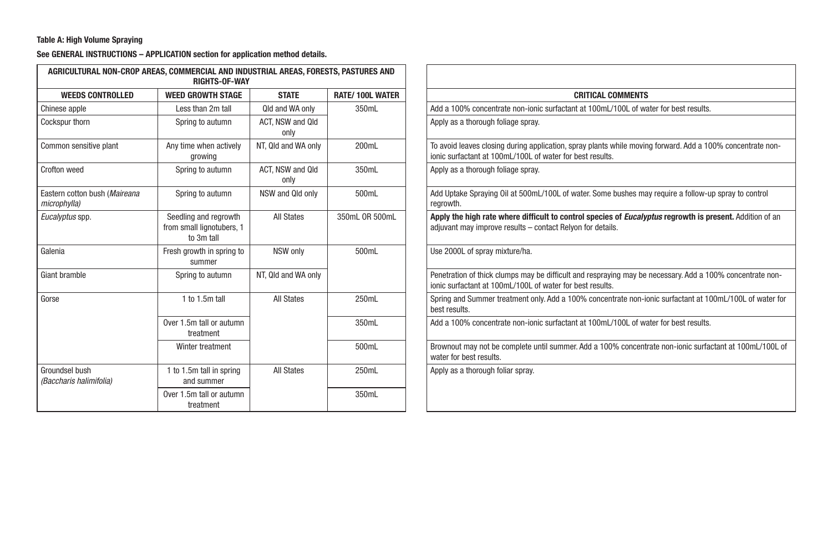#### Table A: High Volume Spraying

| AGRICULTURAL NON-CROP AREAS, COMMERCIAL AND INDUSTRIAL AREAS, FORESTS, PASTURES AND | <b>RIGHTS-OF-WAY</b>                                             |                          |                        |                                                                                                                                                                               |
|-------------------------------------------------------------------------------------|------------------------------------------------------------------|--------------------------|------------------------|-------------------------------------------------------------------------------------------------------------------------------------------------------------------------------|
| <b>WEEDS CONTROLLED</b>                                                             | <b>WEED GROWTH STAGE</b>                                         | <b>STATE</b>             | <b>RATE/100L WATER</b> | <b>CRITICAL COMMENTS</b>                                                                                                                                                      |
| Chinese apple                                                                       | Less than 2m tall                                                | Old and WA only          | 350mL                  | Add a 100% concentrate non-ionic surfactant at 100mL/100L of water for best results.                                                                                          |
| Cockspur thorn                                                                      | Spring to autumn                                                 | ACT. NSW and Old<br>only |                        | Apply as a thorough foliage spray.                                                                                                                                            |
| Common sensitive plant                                                              | Any time when actively<br>growing                                | NT, Qld and WA only      | 200mL                  | To avoid leaves closing during application, spray plants while moving forward. Add a 100% concentrate non-<br>ionic surfactant at 100mL/100L of water for best results.       |
| Crofton weed                                                                        | Spring to autumn                                                 | ACT. NSW and Qld<br>only | 350mL                  | Apply as a thorough foliage spray.                                                                                                                                            |
| Eastern cotton bush (Maireana<br>microphylla)                                       | Spring to autumn                                                 | NSW and Old only         | 500mL                  | Add Uptake Spraying Oil at 500mL/100L of water. Some bushes may require a follow-up spray to control<br>regrowth.                                                             |
| Eucalyptus spp.                                                                     | Seedling and regrowth<br>from small lignotubers, 1<br>to 3m tall | <b>All States</b>        | 350mL OR 500mL         | Apply the high rate where difficult to control species of <i>Eucalyptus</i> regrowth is present. Addition of an<br>adjuvant may improve results - contact Relyon for details. |
| Galenia                                                                             | Fresh growth in spring to<br>summer                              | NSW only                 | 500mL                  | Use 2000L of spray mixture/ha.                                                                                                                                                |
| Giant bramble                                                                       | Spring to autumn                                                 | NT. Qld and WA only      |                        | Penetration of thick clumps may be difficult and respraying may be necessary. Add a 100% concentrate non-<br>ionic surfactant at 100mL/100L of water for best results.        |
| Gorse                                                                               | 1 to 1.5m tall                                                   | <b>All States</b>        | 250mL                  | Spring and Summer treatment only. Add a 100% concentrate non-ionic surfactant at 100mL/100L of water fo<br>best results.                                                      |
|                                                                                     | Over 1.5m tall or autumn<br>treatment                            |                          | 350mL                  | Add a 100% concentrate non-ionic surfactant at 100mL/100L of water for best results.                                                                                          |
|                                                                                     | Winter treatment                                                 |                          | 500mL                  | Brownout may not be complete until summer. Add a 100% concentrate non-ionic surfactant at 100mL/100L<br>water for best results.                                               |
| Groundsel bush<br>(Baccharis halimifolia)                                           | 1 to 1.5m tall in spring<br>and summer                           | <b>All States</b>        | 250mL                  | Apply as a thorough foliar spray.                                                                                                                                             |
|                                                                                     | Over 1.5m tall or autumn<br>treatment                            |                          | 350mL                  |                                                                                                                                                                               |

| AGRICULTURAL NON-CROP AREAS, COMMERCIAL AND INDUSTRIAL AREAS, FORESTS, PASTURES AND | <b>RIGHTS-OF-WAY</b>                                             |                          |                        |                                                                                                                                                                         |
|-------------------------------------------------------------------------------------|------------------------------------------------------------------|--------------------------|------------------------|-------------------------------------------------------------------------------------------------------------------------------------------------------------------------|
| <b>WEEDS CONTROLLED</b>                                                             | <b>WEED GROWTH STAGE</b>                                         | <b>STATE</b>             | <b>RATE/100L WATER</b> | <b>CRITICAL COMMENTS</b>                                                                                                                                                |
| Chinese apple                                                                       | Less than 2m tall                                                | Old and WA only          | 350mL                  | Add a 100% concentrate non-ionic surfactant at 100mL/100L of water for best results.                                                                                    |
| Cockspur thorn                                                                      | Spring to autumn                                                 | ACT. NSW and Old<br>only |                        | Apply as a thorough foliage spray.                                                                                                                                      |
| Common sensitive plant                                                              | Any time when actively<br>growing                                | NT. Qld and WA only      | 200mL                  | To avoid leaves closing during application, spray plants while moving forward. Add a 100% concentrate non-<br>ionic surfactant at 100mL/100L of water for best results. |
| <b>Crofton weed</b>                                                                 | Spring to autumn                                                 | ACT, NSW and Qld<br>only | 350mL                  | Apply as a thorough foliage spray.                                                                                                                                      |
| Eastern cotton bush (Maireana<br>microphylla)                                       | Spring to autumn                                                 | NSW and Qld only         | 500mL                  | Add Uptake Spraying Oil at 500mL/100L of water. Some bushes may require a follow-up spray to control<br>regrowth.                                                       |
| Eucalyptus spp.                                                                     | Seedling and regrowth<br>from small lignotubers, 1<br>to 3m tall | <b>All States</b>        | 350mL OR 500mL         | Apply the high rate where difficult to control species of Eucalyptus regrowth is present. Addition of an<br>adjuvant may improve results - contact Relyon for details.  |
| Galenia                                                                             | Fresh growth in spring to<br>summer                              | NSW only                 | 500mL                  | Use 2000L of spray mixture/ha.                                                                                                                                          |
| Giant bramble                                                                       | Spring to autumn                                                 | NT. Qld and WA only      |                        | Penetration of thick clumps may be difficult and respraying may be necessary. Add a 100% concentrate non-<br>ionic surfactant at 100mL/100L of water for best results.  |
| Gorse                                                                               | 1 to 1.5m tall                                                   | <b>All States</b>        | 250mL                  | Spring and Summer treatment only. Add a 100% concentrate non-ionic surfactant at 100mL/100L of water for<br>best results.                                               |
|                                                                                     | Over 1.5m tall or autumn<br>treatment                            |                          | 350mL                  | Add a 100% concentrate non-jonic surfactant at 100mL/100L of water for best results.                                                                                    |
|                                                                                     | Winter treatment                                                 |                          | 500mL                  | Brownout may not be complete until summer. Add a 100% concentrate non-ionic surfactant at 100mL/100L of<br>water for best results.                                      |
| Groundsel bush<br>(Baccharis halimifolia)                                           | 1 to 1.5m tall in spring<br>and summer                           | <b>All States</b>        | 250mL                  | Apply as a thorough foliar spray.                                                                                                                                       |
|                                                                                     | Over 1.5m tall or autumn<br>treatment                            |                          | 350mL                  |                                                                                                                                                                         |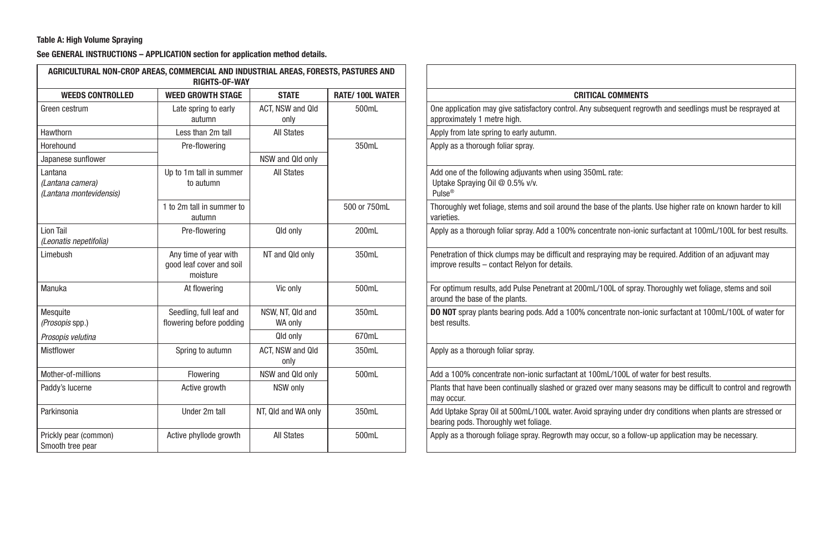#### Table A: High Volume Spraying

|                                                        | AGRICULTURAL NON-CROP AREAS, COMMERCIAL AND INDUSTRIAL AREAS, FORESTS, PASTURES AND<br><b>RIGHTS-OF-WAY</b> |                             |                        |                                                                                                                                                           |
|--------------------------------------------------------|-------------------------------------------------------------------------------------------------------------|-----------------------------|------------------------|-----------------------------------------------------------------------------------------------------------------------------------------------------------|
| <b>WEEDS CONTROLLED</b>                                | <b>WEED GROWTH STAGE</b>                                                                                    | <b>STATE</b>                | <b>RATE/100L WATER</b> | <b>CRITICAL COMMENTS</b>                                                                                                                                  |
| Green cestrum                                          | Late spring to early<br>autumn                                                                              | ACT, NSW and Qld<br>only    | 500mL                  | One application may give satisfactory control. Any subsequent regrowth and seedlings must be resprayed at<br>approximately 1 metre high.                  |
| Hawthorn                                               | Less than 2m tall                                                                                           | <b>All States</b>           |                        | Apply from late spring to early autumn.                                                                                                                   |
| Horehound                                              | Pre-flowering                                                                                               |                             | 350mL                  | Apply as a thorough foliar spray.                                                                                                                         |
| Japanese sunflower                                     |                                                                                                             | NSW and Qld only            |                        |                                                                                                                                                           |
| Lantana<br>(Lantana camera)<br>(Lantana montevidensis) | Up to 1m tall in summer<br>to autumn                                                                        | <b>All States</b>           |                        | Add one of the following adjuvants when using 350mL rate:<br>Uptake Spraying Oil @ 0.5% v/v.<br>Pulse <sup>®</sup>                                        |
|                                                        | 1 to 2m tall in summer to<br>autumn                                                                         |                             | 500 or 750mL           | Thoroughly wet foliage, stems and soil around the base of the plants. Use higher rate on known harder to kill<br>varieties.                               |
| Lion Tail<br>(Leonatis nepetifolia)                    | Pre-flowering                                                                                               | Qld only                    | 200mL                  | Apply as a thorough foliar spray. Add a 100% concentrate non-ionic surfactant at 100mL/100L for best results.                                             |
| Limebush                                               | Any time of year with<br>good leaf cover and soil<br>moisture                                               | NT and Qld only             | 350mL                  | Penetration of thick clumps may be difficult and respraying may be required. Addition of an adjuvant may<br>improve results - contact Relyon for details. |
| Manuka                                                 | At flowering                                                                                                | Vic only                    | 500mL                  | For optimum results, add Pulse Penetrant at 200mL/100L of spray. Thoroughly wet foliage, stems and soil<br>around the base of the plants.                 |
| Mesquite<br>(Prosopis spp.)                            | Seedling, full leaf and<br>flowering before podding                                                         | NSW, NT, Qld and<br>WA only | 350mL                  | DO NOT spray plants bearing pods. Add a 100% concentrate non-ionic surfactant at 100mL/100L of water for<br>best results.                                 |
| Prosopis velutina                                      |                                                                                                             | Qld only                    | 670mL                  |                                                                                                                                                           |
| Mistflower                                             | Spring to autumn                                                                                            | ACT, NSW and Qld<br>only    | 350mL                  | Apply as a thorough foliar spray.                                                                                                                         |
| Mother-of-millions                                     | Flowering                                                                                                   | NSW and Old only            | 500mL                  | Add a 100% concentrate non-ionic surfactant at 100mL/100L of water for best results.                                                                      |
| Paddy's lucerne                                        | Active growth                                                                                               | NSW only                    |                        | Plants that have been continually slashed or grazed over many seasons may be difficult to control and regrowth<br>may occur.                              |
| Parkinsonia                                            | Under 2m tall                                                                                               | NT, Qld and WA only         | 350mL                  | Add Uptake Spray Oil at 500mL/100L water. Avoid spraying under dry conditions when plants are stressed or<br>bearing pods. Thoroughly wet foliage.        |
| Prickly pear (common)<br>Smooth tree pear              | Active phyllode growth                                                                                      | <b>All States</b>           | 500mL                  | Apply as a thorough foliage spray. Regrowth may occur, so a follow-up application may be necessary.                                                       |

| COMMERCIAL AND INDUSTRIAL AREAS, FORESTS, PASTURES AND<br><b>RIGHTS-OF-WAY</b> |                             |                        |                                                                                                                                                           |
|--------------------------------------------------------------------------------|-----------------------------|------------------------|-----------------------------------------------------------------------------------------------------------------------------------------------------------|
| <b><i>NEED GROWTH STAGE</i></b>                                                | <b>STATE</b>                | <b>RATE/100L WATER</b> | <b>CRITICAL COMMENTS</b>                                                                                                                                  |
| Late spring to early<br>autumn                                                 | ACT. NSW and Qld<br>only    | 500mL                  | One application may give satisfactory control. Any subsequent regrowth and seedlings must be resprayed at<br>approximately 1 metre high.                  |
| Less than 2m tall                                                              | <b>All States</b>           |                        | Apply from late spring to early autumn.                                                                                                                   |
| Pre-flowering                                                                  |                             | 350mL                  | Apply as a thorough foliar spray.                                                                                                                         |
|                                                                                | NSW and Qld only            |                        |                                                                                                                                                           |
| Jo to 1m tall in summer<br>to autumn                                           | <b>All States</b>           |                        | Add one of the following adjuvants when using 350mL rate:<br>Uptake Spraying Oil @ 0.5% v/v.<br>Pulse <sup>®</sup>                                        |
| to 2m tall in summer to<br>autumn                                              |                             | 500 or 750mL           | Thoroughly wet foliage, stems and soil around the base of the plants. Use higher rate on known harder to kill<br>varieties.                               |
| Pre-flowering                                                                  | Qld only                    | 200mL                  | Apply as a thorough foliar spray. Add a 100% concentrate non-ionic surfactant at 100mL/100L for best results.                                             |
| Any time of year with<br>good leaf cover and soil<br>moisture                  | NT and Qld only             | 350mL                  | Penetration of thick clumps may be difficult and respraying may be required. Addition of an adjuvant may<br>improve results - contact Relyon for details. |
| At flowering                                                                   | Vic only                    | 500mL                  | For optimum results, add Pulse Penetrant at 200mL/100L of spray. Thoroughly wet foliage, stems and soil<br>around the base of the plants.                 |
| Seedling, full leaf and<br>owering before podding                              | NSW, NT, Qld and<br>WA only | 350mL                  | <b>DO NOT</b> spray plants bearing pods. Add a 100% concentrate non-ionic surfactant at 100mL/100L of water for<br>best results.                          |
|                                                                                | Qld only                    | 670mL                  |                                                                                                                                                           |
| Spring to autumn                                                               | ACT. NSW and Old<br>only    | 350mL                  | Apply as a thorough foliar spray.                                                                                                                         |
| Flowering                                                                      | NSW and Qld only            | 500mL                  | Add a 100% concentrate non-jonic surfactant at 100mL/100L of water for best results.                                                                      |
| Active growth                                                                  | NSW only                    |                        | Plants that have been continually slashed or grazed over many seasons may be difficult to control and regrowth<br>may occur.                              |
| Under 2m tall                                                                  | NT, Qld and WA only         | 350mL                  | Add Uptake Spray Oil at 500mL/100L water. Avoid spraying under dry conditions when plants are stressed or<br>bearing pods. Thoroughly wet foliage.        |
| Active phyllode growth                                                         | <b>All States</b>           | 500mL                  | Apply as a thorough foliage spray. Regrowth may occur, so a follow-up application may be necessary.                                                       |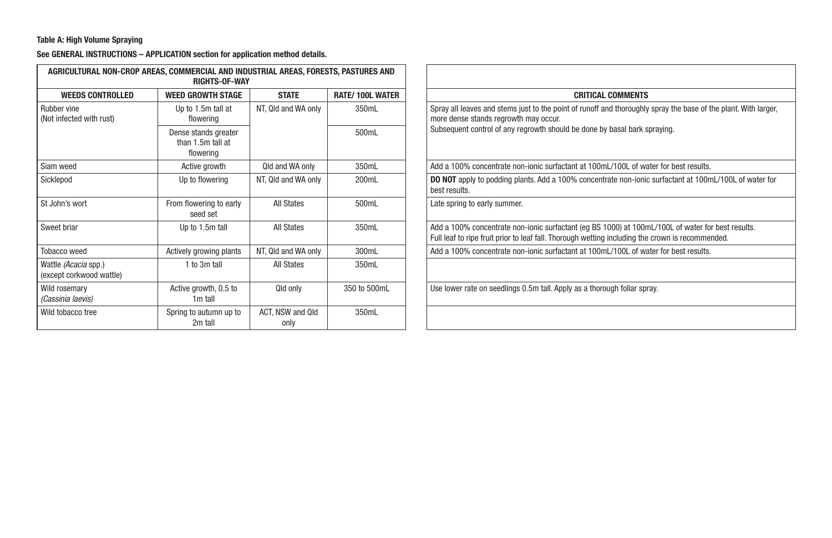#### Table A: High Volume Spraying

| AGRICULTURAL NON-CROP AREAS, COMMERCIAL AND INDUSTRIAL AREAS, FORESTS, PASTURES AND | <b>RIGHTS-OF-WAY</b>                                   |                          |                        |                                                                                                                                                                                                       |
|-------------------------------------------------------------------------------------|--------------------------------------------------------|--------------------------|------------------------|-------------------------------------------------------------------------------------------------------------------------------------------------------------------------------------------------------|
| <b>WEEDS CONTROLLED</b>                                                             | <b>WEED GROWTH STAGE</b>                               | <b>STATE</b>             | <b>RATE/100L WATER</b> | <b>CRITICAL COMMENTS</b>                                                                                                                                                                              |
| Rubber vine<br>(Not infected with rust)                                             | Up to 1.5m tall at<br>flowering                        | NT, Qld and WA only      | 350mL                  | Spray all leaves and stems just to the point of runoff and thoroughly spray the base of the plant. With larger,<br>more dense stands regrowth may occur.                                              |
|                                                                                     | Dense stands greater<br>than 1.5m tall at<br>flowering |                          | 500mL                  | Subsequent control of any regrowth should be done by basal bark spraying.                                                                                                                             |
| Siam weed                                                                           | Active growth                                          | Qld and WA only          | 350mL                  | Add a 100% concentrate non-ionic surfactant at 100mL/100L of water for best results.                                                                                                                  |
| Sicklepod                                                                           | Up to flowering                                        | NT, Qld and WA only      | 200mL                  | <b>DO NOT</b> apply to podding plants. Add a 100% concentrate non-ionic surfactant at 100mL/100L of water for<br>best results.                                                                        |
| St John's wort                                                                      | From flowering to early<br>seed set                    | All States               | 500mL                  | Late spring to early summer.                                                                                                                                                                          |
| Sweet briar                                                                         | Up to 1.5m tall                                        | All States               | 350mL                  | Add a 100% concentrate non-ionic surfactant (eq BS 1000) at 100mL/100L of water for best results.<br>Full leaf to ripe fruit prior to leaf fall. Thorough wetting including the crown is recommended. |
| Tobacco weed                                                                        | Actively growing plants                                | NT, Qld and WA only      | 300mL                  | Add a 100% concentrate non-ionic surfactant at 100mL/100L of water for best results.                                                                                                                  |
| Wattle (Acacia spp.)<br>(except corkwood wattle)                                    | 1 to 3m tall                                           | All States               | 350mL                  |                                                                                                                                                                                                       |
| Wild rosemary<br>(Cassinia laevis)                                                  | Active growth, 0.5 to<br>1 <sub>m</sub> tall           | Qld only                 | 350 to 500mL           | Use lower rate on seedlings 0.5m tall. Apply as a thorough foliar spray.                                                                                                                              |
| Wild tobacco tree                                                                   | Spring to autumn up to<br>2m tall                      | ACT. NSW and Old<br>only | 350mL                  |                                                                                                                                                                                                       |

| Commercial and industrial areas, forests, pastures and<br><b>RIGHTS-OF-WAY</b> |                          |                        |                                                                                                                                                                                                       |
|--------------------------------------------------------------------------------|--------------------------|------------------------|-------------------------------------------------------------------------------------------------------------------------------------------------------------------------------------------------------|
| <b>VEED GROWTH STAGE</b>                                                       | <b>STATE</b>             | <b>RATE/100L WATER</b> | <b>CRITICAL COMMENTS</b>                                                                                                                                                                              |
| Up to 1.5m tall at<br>flowering                                                | NT, Qld and WA only      | 350mL                  | Spray all leaves and stems just to the point of runoff and thoroughly spray the base of the plant. With larger,<br>more dense stands regrowth may occur.                                              |
| Dense stands greater<br>than 1.5m tall at<br>flowering                         |                          | 500mL                  | Subsequent control of any regrowth should be done by basal bark spraying.                                                                                                                             |
| Active growth                                                                  | Qld and WA only          | 350mL                  | Add a 100% concentrate non-ionic surfactant at 100mL/100L of water for best results.                                                                                                                  |
| Up to flowering                                                                | NT, Qld and WA only      | 200mL                  | <b>DO NOT</b> apply to podding plants. Add a 100% concentrate non-ionic surfactant at 100mL/100L of water for<br>best results.                                                                        |
| rom flowering to early<br>seed set                                             | All States               | 500mL                  | Late spring to early summer.                                                                                                                                                                          |
| Up to 1.5m tall                                                                | All States               | 350mL                  | Add a 100% concentrate non-ionic surfactant (eg BS 1000) at 100mL/100L of water for best results.<br>Full leaf to ripe fruit prior to leaf fall. Thorough wetting including the crown is recommended. |
| ctively growing plants                                                         | NT. Qld and WA only      | 300mL                  | Add a 100% concentrate non-ionic surfactant at 100mL/100L of water for best results.                                                                                                                  |
| 1 to 3m tall                                                                   | All States               | 350mL                  |                                                                                                                                                                                                       |
| Active growth, 0.5 to<br>1 <sub>m</sub> tall                                   | Qld only                 | 350 to 500mL           | Use lower rate on seedlings 0.5m tall. Apply as a thorough foliar spray.                                                                                                                              |
| Spring to autumn up to<br>2m tall                                              | ACT, NSW and Qld<br>only | 350mL                  |                                                                                                                                                                                                       |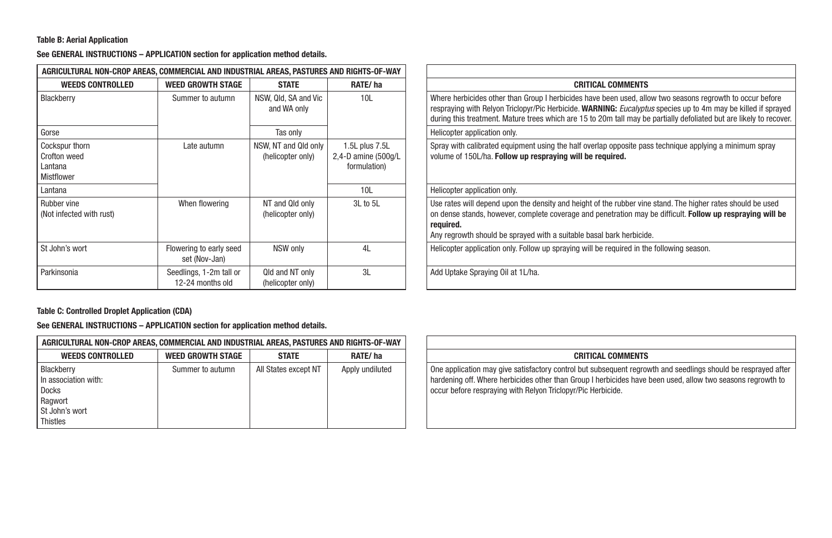#### Table B: Aerial Application

See GENERAL INSTRUCTIONS – APPLICATION section for application method details.

| AGRICULTURAL NON-CROP AREAS, COMMERCIAL AND INDUSTRIAL AREAS, PASTURES AND RIGHTS-OF-WAY |                                             |                                           |                                                       |                                                                                                                                                                                                                           |
|------------------------------------------------------------------------------------------|---------------------------------------------|-------------------------------------------|-------------------------------------------------------|---------------------------------------------------------------------------------------------------------------------------------------------------------------------------------------------------------------------------|
| <b>WEEDS CONTROLLED</b>                                                                  | <b>WEED GROWTH STAGE</b>                    | <b>STATE</b>                              | RATE/ha                                               | <b>CRITICAL COMMENTS</b>                                                                                                                                                                                                  |
| Blackberry                                                                               | Summer to autumn                            | NSW, Qld, SA and Vic<br>and WA only       | 10L                                                   | Where herbicides other than Group I herbicides have been used, all<br>respraying with Relyon Triclopyr/Pic Herbicide. WARNING: Eucalypt<br>during this treatment. Mature trees which are 15 to 20m tall may b             |
| Gorse                                                                                    |                                             | Tas only                                  |                                                       | Helicopter application only.                                                                                                                                                                                              |
| Cockspur thorn<br><b>Crofton weed</b><br>Lantana<br><b>Mistflower</b>                    | Late autumn                                 | NSW, NT and Qld only<br>(helicopter only) | 1.5L plus 7.5L<br>2,4-D amine (500q/L<br>formulation) | Spray with calibrated equipment using the half overlap opposite pa<br>volume of 150L/ha. Follow up respraying will be required.                                                                                           |
| Lantana                                                                                  |                                             |                                           | 10L                                                   | Helicopter application only.                                                                                                                                                                                              |
| Rubber vine<br>(Not infected with rust)                                                  | When flowering                              | NT and Qld only<br>(helicopter only)      | 3L to 5L                                              | Use rates will depend upon the density and height of the rubber vin<br>on dense stands, however, complete coverage and penetration may<br>required.<br>Any regrowth should be sprayed with a suitable basal bark herbicid |
| St John's wort                                                                           | Flowering to early seed<br>set (Nov-Jan)    | NSW only                                  | 4L                                                    | Helicopter application only. Follow up spraying will be required in the                                                                                                                                                   |
| Parkinsonia                                                                              | Seedlings, 1-2m tall or<br>12-24 months old | Qld and NT only<br>(helicopter only)      | 3L                                                    | Add Uptake Spraying Oil at 1L/ha.                                                                                                                                                                                         |

#### Table C: Controlled Droplet Application (CDA)

| AGRICULTURAL NON-CROP AREAS, COMMERCIAL AND INDUSTRIAL AREAS, PASTURES AND RIGHTS-OF-WAY    |                          |                      |                 |                                                                                                                                                                                                          |
|---------------------------------------------------------------------------------------------|--------------------------|----------------------|-----------------|----------------------------------------------------------------------------------------------------------------------------------------------------------------------------------------------------------|
| <b>WEEDS CONTROLLED</b>                                                                     | <b>WEED GROWTH STAGE</b> | <b>STATE</b>         | RATE/ha         | <b>CRITICAL COMMENTS</b>                                                                                                                                                                                 |
| Blackberry<br>In association with:<br>Docks<br>Ragwort<br>St John's wort<br><b>Thistles</b> | Summer to autumn         | All States except NT | Apply undiluted | One application may give satisfactory control but subsequent regro<br>hardening off. Where herbicides other than Group I herbicides have<br>occur before respraying with Relyon Triclopyr/Pic Herbicide. |

|                                   | REAS. PASTURES AND RIGHTS-OF-WAY                         |                                                                                                                                                                                                                                                                                                                                                   |
|-----------------------------------|----------------------------------------------------------|---------------------------------------------------------------------------------------------------------------------------------------------------------------------------------------------------------------------------------------------------------------------------------------------------------------------------------------------------|
| <b>STATE</b>                      | RATE/ha                                                  | <b>CRITICAL COMMENTS</b>                                                                                                                                                                                                                                                                                                                          |
| Qld, SA and Vic<br>nd WA only     | 10L                                                      | Where herbicides other than Group I herbicides have been used, allow two seasons regrowth to occur before<br>respraying with Relyon Triclopyr/Pic Herbicide. WARNING: Eucalyptus species up to 4m may be killed if sprayed<br>during this treatment. Mature trees which are 15 to 20m tall may be partially defoliated but are likely to recover. |
| Tas only                          |                                                          | Helicopter application only.                                                                                                                                                                                                                                                                                                                      |
| NT and Qld only<br>licopter only) | 1.5L plus 7.5L<br>2,4-D amine $(500q/L)$<br>formulation) | Spray with calibrated equipment using the half overlap opposite pass technique applying a minimum spray<br>volume of 150L/ha. Follow up respraying will be required.                                                                                                                                                                              |
|                                   | 10L                                                      | Helicopter application only.                                                                                                                                                                                                                                                                                                                      |
| and Qld only<br>licopter only)    | $3L$ to $5L$                                             | Use rates will depend upon the density and height of the rubber vine stand. The higher rates should be used<br>on dense stands, however, complete coverage and penetration may be difficult. Follow up respraying will be<br>required.<br>Any regrowth should be sprayed with a suitable basal bark herbicide.                                    |
| NSW only                          | 4L                                                       | Helicopter application only. Follow up spraying will be required in the following season.                                                                                                                                                                                                                                                         |
| and NT only<br>licontor only)     | 3L                                                       | Add Uptake Spraying Oil at 1L/ha.                                                                                                                                                                                                                                                                                                                 |

|                  | IMERCIAL AND INDUSTRIAL AREAS, PASTURES AND RIGHTS-OF-WAY |                 |                                                                                                                                                                                                                                                                                              |
|------------------|-----------------------------------------------------------|-----------------|----------------------------------------------------------------------------------------------------------------------------------------------------------------------------------------------------------------------------------------------------------------------------------------------|
| EED GROWTH STAGE | <b>STATE</b>                                              | RATE/ha         | <b>CRITICAL COMMENTS</b>                                                                                                                                                                                                                                                                     |
| Summer to autumn | All States except NT                                      | Apply undiluted | One application may give satisfactory control but subsequent regrowth and seedlings should be resprayed after<br>hardening off. Where herbicides other than Group I herbicides have been used, allow two seasons regrowth to<br>occur before respraying with Relyon Triclopyr/Pic Herbicide. |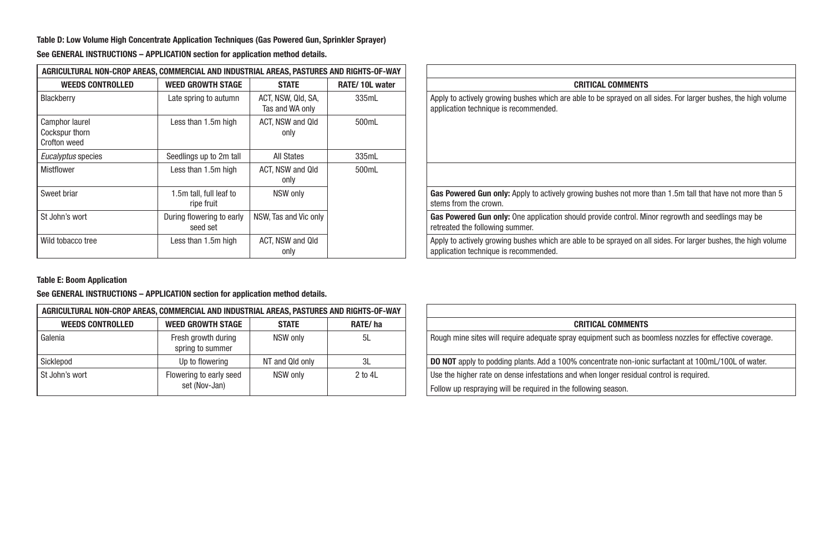Table D: Low Volume High Concentrate Application Techniques (Gas Powered Gun, Sprinkler Sprayer)

| AGRICULTURAL NON-CROP AREAS, COMMERCIAL AND INDUSTRIAL AREAS, PASTURES AND RIGHTS-OF-WAY |                                       |                                       |                |                                                                                                             |
|------------------------------------------------------------------------------------------|---------------------------------------|---------------------------------------|----------------|-------------------------------------------------------------------------------------------------------------|
| <b>WEEDS CONTROLLED</b>                                                                  | <b>WEED GROWTH STAGE</b>              | <b>STATE</b>                          | RATE/10L water | <b>CRITICAL COMMENTS</b>                                                                                    |
| Blackberry                                                                               | Late spring to autumn                 | ACT, NSW, Qld, SA,<br>Tas and WA only | 335mL          | Apply to actively growing bushes which are able to be sprayed on a<br>application technique is recommended. |
| Camphor laurel<br>Cockspur thorn<br>Crofton weed                                         | Less than 1.5m high                   | ACT. NSW and Qld<br>only              | 500mL          |                                                                                                             |
| Eucalyptus species                                                                       | Seedlings up to 2m tall               | <b>All States</b>                     | 335mL          |                                                                                                             |
| <b>Mistflower</b>                                                                        | Less than 1.5m high                   | ACT. NSW and Qld<br>only              | 500mL          |                                                                                                             |
| Sweet briar                                                                              | 1.5m tall, full leaf to<br>ripe fruit | NSW only                              |                | Gas Powered Gun only: Apply to actively growing bushes not more<br>stems from the crown.                    |
| St John's wort                                                                           | During flowering to early<br>seed set | NSW. Tas and Vic only                 |                | Gas Powered Gun only: One application should provide control. Mi<br>retreated the following summer.         |
| Wild tobacco tree                                                                        | Less than 1.5m high                   | ACT. NSW and Qld<br>only              |                | Apply to actively growing bushes which are able to be sprayed on a<br>application technique is recommended. |

See GENERAL INSTRUCTIONS – APPLICATION section for application method details.

| IAL AREAS. PASTURES AND RIGHTS-OF-WAY |                                                                                                                                                         |
|---------------------------------------|---------------------------------------------------------------------------------------------------------------------------------------------------------|
| RATE/10L water                        | <b>CRITICAL COMMENTS</b>                                                                                                                                |
| 335mL                                 | Apply to actively growing bushes which are able to be sprayed on all sides. For larger bushes, the high volume<br>application technique is recommended. |
| 500mL                                 |                                                                                                                                                         |
| 335mL                                 |                                                                                                                                                         |
| 500mL                                 |                                                                                                                                                         |
|                                       | <b>Gas Powered Gun only:</b> Apply to actively growing bushes not more than 1.5m tall that have not more than 5<br>stems from the crown.                |
|                                       | Gas Powered Gun only: One application should provide control. Minor regrowth and seedlings may be<br>retreated the following summer.                    |
|                                       | Apply to actively growing bushes which are able to be sprayed on all sides. For larger bushes, the high volume<br>application technique is recommended. |
|                                       |                                                                                                                                                         |

Table E: Boom Application

| AGRICULTURAL NON-CROP AREAS, COMMERCIAL AND INDUSTRIAL AREAS, PASTURES AND RIGHTS-OF-WAY |                                          |                 |             |                                                                                                                                                           |
|------------------------------------------------------------------------------------------|------------------------------------------|-----------------|-------------|-----------------------------------------------------------------------------------------------------------------------------------------------------------|
| <b>WEEDS CONTROLLED</b>                                                                  | WEED GROWTH STAGE                        | <b>STATE</b>    | RATE/ha     | <b>CRITICAL COMMENTS</b>                                                                                                                                  |
| Galenia                                                                                  | Fresh growth during<br>spring to summer  | NSW only        | 5L          | Rough mine sites will require adequate spray equipment such as boomless nozzles for effective coverag                                                     |
| Sicklepod                                                                                | Up to flowering                          | NT and Qld only |             | DO NOT apply to podding plants. Add a 100% concentrate non-ionic surfactant at 100mL/100L of water.                                                       |
| l St John's wort                                                                         | Flowering to early seed<br>set (Nov-Jan) | NSW only        | $2$ to $4L$ | Use the higher rate on dense infestations and when longer residual control is required.<br>Follow up respraying will be required in the following season. |

| REAS, PASTURES AND RIGHTS-OF-WAY |             |                                                                                                            |
|----------------------------------|-------------|------------------------------------------------------------------------------------------------------------|
| <b>STATE</b>                     | RATE/ha     | <b>CRITICAL COMMENTS</b>                                                                                   |
| NSW only                         | 5L          | Rough mine sites will require adequate spray equipment such as boomless nozzles for effective coverage.    |
| and Old only                     | 3L          | <b>DO NOT</b> apply to podding plants. Add a 100% concentrate non-ionic surfactant at 100mL/100L of water. |
| NSW only                         | $2$ to $4L$ | Use the higher rate on dense infestations and when longer residual control is required.                    |
|                                  |             | Follow up respraying will be required in the following season.                                             |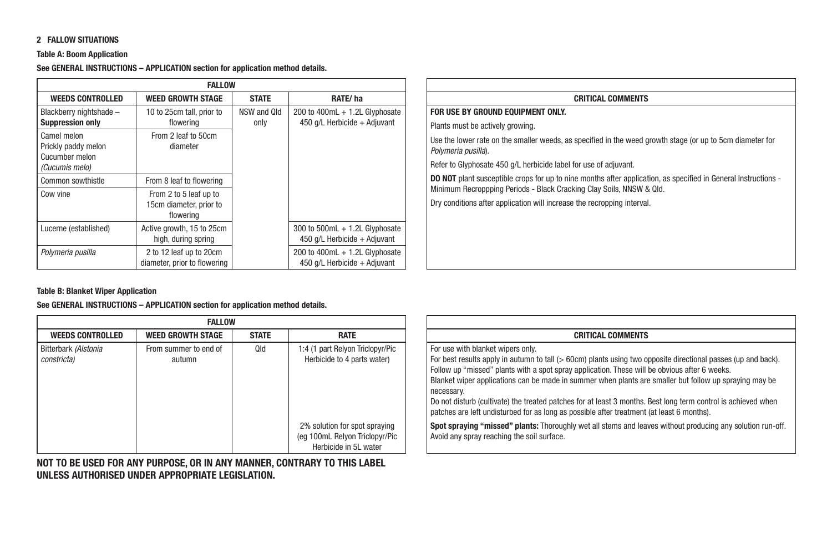#### 2 FALLOW SITUATIONS

#### Table A: Boom Application

See GENERAL INSTRUCTIONS – APPLICATION section for application method details.

| <b>FALLOW</b>                                        |                                                                |                     |                                                                    |                                                                                                                                              |
|------------------------------------------------------|----------------------------------------------------------------|---------------------|--------------------------------------------------------------------|----------------------------------------------------------------------------------------------------------------------------------------------|
| <b>WEEDS CONTROLLED</b>                              | <b>WEED GROWTH STAGE</b>                                       | <b>STATE</b>        | RATE/ha                                                            | <b>CRITICAL COMMENTS</b>                                                                                                                     |
| Blackberry nightshade -<br><b>Suppression only</b>   | 10 to 25cm tall, prior to<br>flowering                         | NSW and Old<br>only | 200 to 400mL $+$ 1.2L Glyphosate<br>450 $q/L$ Herbicide + Adjuvant | FOR USE BY GROUND EQUIPMENT ONLY.<br>Plants must be actively growing.                                                                        |
| Camel melon<br>Prickly paddy melon<br>Cucumber melon | From 2 leaf to 50cm<br>diameter                                |                     |                                                                    | Use the lower rate on the smaller weeds, as specified in the weed<br>Polymeria pusilla).                                                     |
| (Cucumis melo)                                       |                                                                |                     |                                                                    | Refer to Glyphosate 450 g/L herbicide label for use of adjuvant.                                                                             |
| Common sowthistle                                    | From 8 leaf to flowering                                       |                     |                                                                    | <b>DO NOT</b> plant susceptible crops for up to nine months after applica<br>Minimum Recroppping Periods - Black Cracking Clay Soils, NNSW & |
| Cow vine                                             | From 2 to 5 leaf up to<br>15cm diameter, prior to<br>flowering |                     |                                                                    | Dry conditions after application will increase the recropping interval                                                                       |
| Lucerne (established)                                | Active growth, 15 to 25cm<br>high, during spring               |                     | 300 to 500mL $+$ 1.2L Glyphosate<br>450 g/L Herbicide + Adjuvant   |                                                                                                                                              |
| Polymeria pusilla                                    | 2 to 12 leaf up to 20cm<br>diameter, prior to flowering        |                     | 200 to $400mL + 1.2L$ Glyphosate<br>450 g/L Herbicide + Adiuvant   |                                                                                                                                              |

| <b>CRITICAL COMMENTS</b>                                                                                                                                                                      |
|-----------------------------------------------------------------------------------------------------------------------------------------------------------------------------------------------|
| FOR USE BY GROUND EQUIPMENT ONLY.                                                                                                                                                             |
| Plants must be actively growing.                                                                                                                                                              |
| Use the lower rate on the smaller weeds, as specified in the weed growth stage (or up to 5cm diameter for<br>Polymeria pusilla).                                                              |
| Refer to Glyphosate 450 g/L herbicide label for use of adjuvant.                                                                                                                              |
| <b>DO NOT</b> plant susceptible crops for up to nine months after application, as specified in General Instructions -<br>Minimum Recroppping Periods - Black Cracking Clay Soils, NNSW & Qld. |
| Dry conditions after application will increase the recropping interval.                                                                                                                       |
|                                                                                                                                                                                               |
|                                                                                                                                                                                               |
|                                                                                                                                                                                               |
|                                                                                                                                                                                               |

#### Table B: Blanket Wiper Application

See GENERAL INSTRUCTIONS – APPLICATION section for application method details.

| <b>FALLOW</b>                                                                                             |                                     |  |  |  |
|-----------------------------------------------------------------------------------------------------------|-------------------------------------|--|--|--|
| <b>STATE</b><br><b>RATE</b><br><b>WEED GROWTH STAGE</b>                                                   | <b>WEEDS CONTROLLED</b>             |  |  |  |
| From summer to end of<br>Qld<br>1:4 (1 part Relyon Triclopyr/Pic<br>Herbicide to 4 parts water)<br>autumn | Bitterbark (Alstonia<br>constricta) |  |  |  |
| 2% solution for spot spraying<br>(eq 100mL Relyon Triclopyr/Pic<br>Herbicide in 5L water                  |                                     |  |  |  |

NOT TO BE USED FOR ANY PURPOSE, OR IN ANY MANNER, CONTRARY TO THIS LABEL UNLESS AUTHORISED UNDER APPROPRIATE LEGISLATION.

| <b>CRITICAL COMMENTS</b>                                                                                                                                                                                                                                                                                                 |
|--------------------------------------------------------------------------------------------------------------------------------------------------------------------------------------------------------------------------------------------------------------------------------------------------------------------------|
| For use with blanket wipers only.                                                                                                                                                                                                                                                                                        |
| For best results apply in autumn to tall (> 60cm) plants using two opposite directional passes (up and back).<br>Follow up "missed" plants with a spot spray application. These will be obvious after 6 weeks.<br>Blanket wiper applications can be made in summer when plants are smaller but follow up spraying may be |
| necessary.<br>Do not disturb (cultivate) the treated patches for at least 3 months. Best long term control is achieved when<br>patches are left undisturbed for as long as possible after treatment (at least 6 months).                                                                                                 |
| Spot spraying "missed" plants: Thoroughly wet all stems and leaves without producing any solution run-off.<br>Avoid any spray reaching the soil surface.                                                                                                                                                                 |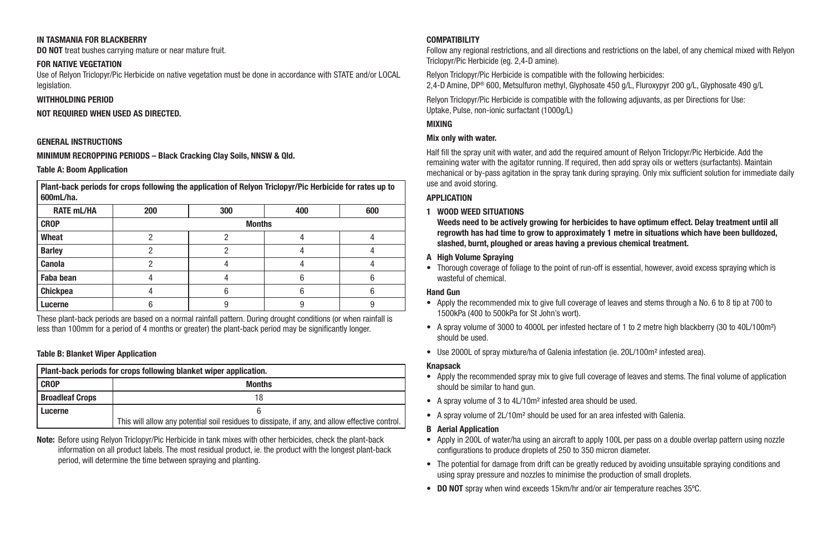#### IN TASMANIA FOR BLACKBERRY

DO NOT treat bushes carrying mature or near mature fruit.

#### FOR NATIVE VEGETATION

Use of Relyon Triclopyr/Pic Herbicide on native vegetation must be done in accordance with STATE and/or LOCAL legislation.

#### WITHHOLDING PERIOD

#### NOT REQUIRED WHEN USED AS DIRECTED.

#### GENERAL INSTRUCTIONS

MINIMUM RECROPPING PERIODS – Black Cracking Clay Soils, NNSW & Qld.

#### Table A: Boom Application

Plant-back periods for crops following the application of Relyon Triclopyr/Pic Herbicide for rates up to 600mL/ha.

| <b>RATE mL/HA</b> | 200           | 300 | 400 | 600 |  |  |  |
|-------------------|---------------|-----|-----|-----|--|--|--|
| <b>CROP</b>       | <b>Months</b> |     |     |     |  |  |  |
| Wheat             |               |     |     |     |  |  |  |
| <b>Barley</b>     |               |     |     |     |  |  |  |
| Canola            |               |     |     |     |  |  |  |
| Faba bean         |               |     |     |     |  |  |  |
| Chickpea          |               |     |     |     |  |  |  |
| Lucerne           |               |     |     |     |  |  |  |

These plant-back periods are based on a normal rainfall pattern. During drought conditions (or when rainfall is less than 100mm for a period of 4 months or greater) the plant-back period may be significantly longer.

#### Table B: Blanket Wiper Application

| Plant-back periods for crops following blanket wiper application. |                                                                                                |  |
|-------------------------------------------------------------------|------------------------------------------------------------------------------------------------|--|
| <b>CROP</b>                                                       | <b>Months</b>                                                                                  |  |
| <b>Broadleaf Crops</b>                                            |                                                                                                |  |
| Lucerne                                                           |                                                                                                |  |
|                                                                   | This will allow any potential soil residues to dissipate, if any, and allow effective control. |  |

Note: Before using Relyon Triclopyr/Pic Herbicide in tank mixes with other herbicides, check the plant-back information on all product labels. The most residual product, ie. the product with the longest plant-back period, will determine the time between spraying and planting.

#### **COMPATIBILITY**

Follow any regional restrictions, and all directions and restrictions on the label, of any chemical mixed with Relyon Triclopyr/Pic Herbicide (eg. 2,4-D amine).

Relyon Triclopyr/Pic Herbicide is compatible with the following herbicides: 2,4-D Amine, DP® 600, Metsulfuron methyl, Glyphosate 450 g/L, Fluroxypyr 200 g/L, Glyphosate 490 g/L

Relyon Triclopyr/Pic Herbicide is compatible with the following adjuvants, as per Directions for Use: Uptake, Pulse, non-ionic surfactant (1000g/L)

#### MIXING

#### Mix only with water.

Half fill the spray unit with water, and add the required amount of Relyon Triclopyr/Pic Herbicide. Add the remaining water with the agitator running. If required, then add spray oils or wetters (surfactants). Maintain mechanical or by-pass agitation in the spray tank during spraying. Only mix sufficient solution for immediate daily use and avoid storing.

#### **APPLICATION**

#### 1 WOOD WEED SITUATIONS

Weeds need to be actively growing for herbicides to have optimum effect. Delay treatment until all regrowth has had time to grow to approximately 1 metre in situations which have been bulldozed, slashed, burnt, ploughed or areas having a previous chemical treatment.

#### A High Volume Spraying

• Thorough coverage of foliage to the point of run-off is essential, however, avoid excess spraying which is wasteful of chemical.

#### Hand Gun

- Apply the recommended mix to give full coverage of leaves and stems through a No. 6 to 8 tip at 700 to 1500kPa (400 to 500kPa for St John's wort).
- A spray volume of 3000 to 4000L per infested hectare of 1 to 2 metre high blackberry (30 to 40L/100m²) should be used.
- Use 2000L of spray mixture/ha of Galenia infestation (ie. 20L/100m<sup>2</sup> infested area).

#### Knapsack

- Apply the recommended spray mix to give full coverage of leaves and stems. The final volume of application should be similar to hand gun.
- A spray volume of 3 to 4L/10m² infested area should be used.
- A spray volume of 2L/10m² should be used for an area infested with Galenia.

#### B Aerial Application

- Apply in 200L of water/ha using an aircraft to apply 100L per pass on a double overlap pattern using nozzle configurations to produce droplets of 250 to 350 micron diameter.
- The potential for damage from drift can be greatly reduced by avoiding unsuitable spraying conditions and using spray pressure and nozzles to minimise the production of small droplets.
- DO NOT spray when wind exceeds 15km/hr and/or air temperature reaches 35ºC.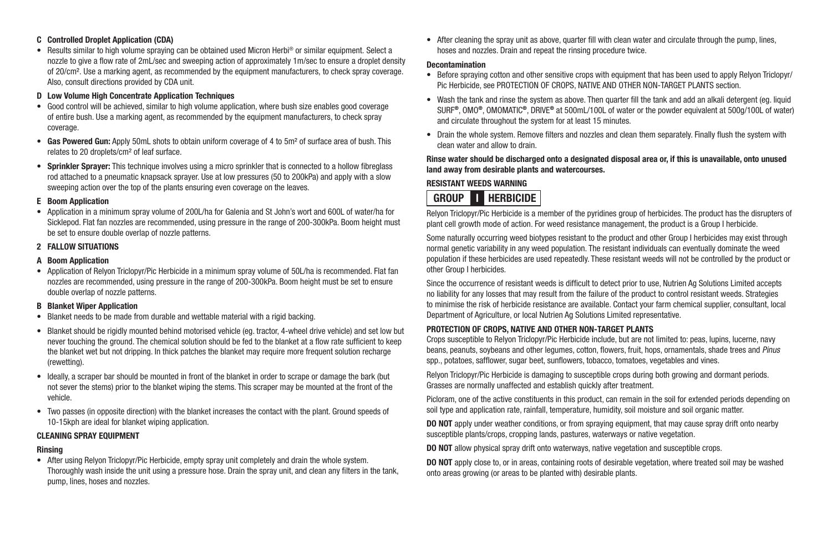#### C Controlled Droplet Application (CDA)

• Results similar to high volume spraying can be obtained used Micron Herbi® or similar equipment. Select a nozzle to give a flow rate of 2mL/sec and sweeping action of approximately 1m/sec to ensure a droplet density of 20/cm². Use a marking agent, as recommended by the equipment manufacturers, to check spray coverage. Also, consult directions provided by CDA unit.

#### D Low Volume High Concentrate Application Techniques

- Good control will be achieved, similar to high volume application, where bush size enables good coverage of entire bush. Use a marking agent, as recommended by the equipment manufacturers, to check spray coverage.
- Gas Powered Gun: Apply 50mL shots to obtain uniform coverage of 4 to 5m<sup>2</sup> of surface area of bush. This relates to 20 droplets/cm² of leaf surface.
- Sprinkler Sprayer: This technique involves using a micro sprinkler that is connected to a hollow fibreglass rod attached to a pneumatic knapsack sprayer. Use at low pressures (50 to 200kPa) and apply with a slow sweeping action over the top of the plants ensuring even coverage on the leaves.

#### E Boom Application

• Application in a minimum spray volume of 200L/ha for Galenia and St John's wort and 600L of water/ha for Sicklepod. Flat fan nozzles are recommended, using pressure in the range of 200-300kPa. Boom height must be set to ensure double overlap of nozzle patterns.

#### 2 FALLOW SITUATIONS

#### A Boom Application

• Application of Relyon Triclopyr/Pic Herbicide in a minimum spray volume of 50L/ha is recommended. Flat fan nozzles are recommended, using pressure in the range of 200-300kPa. Boom height must be set to ensure double overlap of nozzle patterns.

#### B Blanket Wiper Application

- Blanket needs to be made from durable and wettable material with a rigid backing.
- Blanket should be rigidly mounted behind motorised vehicle (eg. tractor, 4-wheel drive vehicle) and set low but never touching the ground. The chemical solution should be fed to the blanket at a flow rate sufficient to keep the blanket wet but not dripping. In thick patches the blanket may require more frequent solution recharge (rewetting).
- Ideally, a scraper bar should be mounted in front of the blanket in order to scrape or damage the bark (but not sever the stems) prior to the blanket wiping the stems. This scraper may be mounted at the front of the vehicle.
- Two passes (in opposite direction) with the blanket increases the contact with the plant. Ground speeds of 10-15kph are ideal for blanket wiping application.

#### CLEANING SPRAY EQUIPMENT

#### Rinsing

• After using Relyon Triclopyr/Pic Herbicide, empty spray unit completely and drain the whole system. Thoroughly wash inside the unit using a pressure hose. Drain the spray unit, and clean any filters in the tank, pump, lines, hoses and nozzles.

• After cleaning the spray unit as above, quarter fill with clean water and circulate through the pump, lines, hoses and nozzles. Drain and repeat the rinsing procedure twice.

#### Decontamination

- Before spraying cotton and other sensitive crops with equipment that has been used to apply Relyon Triclopyr/ Pic Herbicide, see PROTECTION OF CROPS, NATIVE AND OTHER NON-TARGET PLANTS section.
- Wash the tank and rinse the system as above. Then quarter fill the tank and add an alkali detergent (eg. liquid SURF®, OMO®, OMOMATIC®, DRIVE® at 500mL/100L of water or the powder equivalent at 500g/100L of water) and circulate throughout the system for at least 15 minutes.
- Drain the whole system. Remove filters and nozzles and clean them separately. Finally flush the system with clean water and allow to drain.

#### Rinse water should be discharged onto a designated disposal area or, if this is unavailable, onto unused land away from desirable plants and watercourses.

#### RESISTANT WEEDS WARNING

### **GROUP II HERBICIDE**

Relyon Triclopyr/Pic Herbicide is a member of the pyridines group of herbicides. The product has the disrupters of plant cell growth mode of action. For weed resistance management, the product is a Group I herbicide.

Some naturally occurring weed biotypes resistant to the product and other Group I herbicides may exist through normal genetic variability in any weed population. The resistant individuals can eventually dominate the weed population if these herbicides are used repeatedly. These resistant weeds will not be controlled by the product or other Group I herbicides.

Since the occurrence of resistant weeds is difficult to detect prior to use, Nutrien Ag Solutions Limited accepts no liability for any losses that may result from the failure of the product to control resistant weeds. Strategies to minimise the risk of herbicide resistance are available. Contact your farm chemical supplier, consultant, local Department of Agriculture, or local Nutrien Ag Solutions Limited representative.

#### PROTECTION OF CROPS, NATIVE AND OTHER NON-TARGET PLANTS

Crops susceptible to Relyon Triclopyr/Pic Herbicide include, but are not limited to: peas, lupins, lucerne, navy beans, peanuts, soybeans and other legumes, cotton, flowers, fruit, hops, ornamentals, shade trees and *Pinus*  spp., potatoes, safflower, sugar beet, sunflowers, tobacco, tomatoes, vegetables and vines.

Relyon Triclopyr/Pic Herbicide is damaging to susceptible crops during both growing and dormant periods. Grasses are normally unaffected and establish quickly after treatment.

Picloram, one of the active constituents in this product, can remain in the soil for extended periods depending on soil type and application rate, rainfall, temperature, humidity, soil moisture and soil organic matter.

DO NOT apply under weather conditions, or from spraying equipment, that may cause spray drift onto nearby susceptible plants/crops, cropping lands, pastures, waterways or native vegetation.

DO NOT allow physical spray drift onto waterways, native vegetation and susceptible crops.

DO NOT apply close to, or in areas, containing roots of desirable vegetation, where treated soil may be washed onto areas growing (or areas to be planted with) desirable plants.